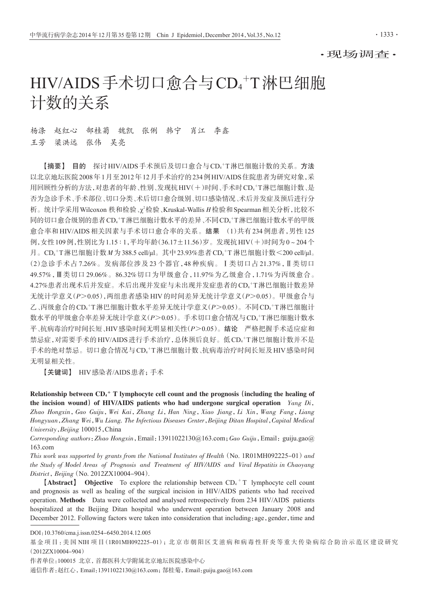# HIV/AIDS手术切口愈合与CD4<sup>+</sup>T淋巴细胞 计数的关系

杨涤 赵红心 郜桂菊 魏凯 张俐 韩宁 肖江 李鑫 王芳 梁洪远 张伟 吴亮

【摘要】 目的 探讨HIV/AIDS手术预后及切口愈合与CD4 <sup>+</sup>T淋巴细胞计数的关系。方法 以北京地坛医院2008年1月至2012年12月手术治疗的234例HIV/AIDS住院患者为研究对象,采 用回顾性分析的方法,对患者的年龄、性别、发现抗HIV(+)时间、手术时CD4'T淋巴细胞计数、是 否为急诊手术、手术部位、切口分类、术后切口愈合级别、切口感染情况、术后并发症及预后进行分 析。统计学采用 Wilcoxon 秩和检验、χ'检验、Kruskal-Wallis Η检验和 Spearman 相关分析, 比较不 同的切口愈合级别的患者CD4 <sup>+</sup>T淋巴细胞计数水平的差异、不同CD4 <sup>+</sup>T淋巴细胞计数水平的甲级 愈合率和 HIV/AIDS 相关因素与手术切口愈合率的关系。结果 (1)共有 234 例患者,男性 125 例,女性109例,性别比为1.15 ∶ 1,平均年龄(36.17±11.56)岁。发现抗HIV(+)时间为0~204个 月。CD4+T淋巴细胞计数M为388.5 cell/μl。其中23.93%患者CD4+T淋巴细胞计数<200 cell/μl。 (2)急诊手术占 7.26%。发病部位涉及 23 个器官,48 种疾病。Ⅰ类切口占 21.37%,Ⅱ类切口 49.57%,Ⅲ类切口 29.06%。86.32%切口为甲级愈合,11.97%为乙级愈合,1.71%为丙级愈合。 4.27%患者出现术后并发症。术后出现并发症与未出现并发症患者的CD4\*T淋巴细胞计数差异 无统计学意义(P>0.05),两组患者感染HIV的时间差异无统计学意义(P>0.05)。甲级愈合与 乙、丙级愈合的CD4†T淋巴细胞计数水平差异无统计学意义(P>0.05)。不同CD4†T淋巴细胞计 数水平的甲级愈合率差异无统计学意义(*P*>0.05)。手术切口愈合情况与CD4\*T淋巴细胞计数水 平、抗病毒治疗时间长短、HIV感染时间无明显相关性(P>0.05)。结论 严格把握手术适应症和 禁忌症,对需要手术的HIV/AIDS进行手术治疗,总体预后良好。低CD4\*T淋巴细胞计数并不是 手术的绝对禁忌。切口愈合情况与CD4'T淋巴细胞计数、抗病毒治疗时间长短及HIV感染时间 无明显相关性。

【关键词】 HIV感染者/AIDS患者;手术

Relationship between  $CD_4$ <sup>+</sup> T lymphocyte cell count and the prognosis (including the healing of the incision wound) of HIV/AIDS patients who had undergone surgical operation  $Yang\ Di$ , Zhao Hongxin,Gao Guiju,Wei Kai,Zhang Li,Han Ning,Xiao Jiang,Li Xin,Wang Fang,Liang Hongyuan,Zhang Wei,Wu Liang. The Infectious Diseases Center,Beijing Ditan Hospital,Capital Medical University,Beijing 100015,China

Corresponding authors: Zhao Hongxin, Email: 13911022130@163.com; Gao Guiju, Email: guiju.gao@ 163.com

This work was supported by grants from the National Institutes of Health (No.  $1R01MH092225-01$ ) and the Study of Model Areas of Prognosis and Treatment of HIV/AIDS and Viral Hepatitis in Chaoyang District, Beijing (No. 2012ZX10004-904).

**[Abstract]** Objective To explore the relationship between  $CD_4$ <sup>+</sup> T lymphocyte cell count and prognosis as well as healing of the surgical incision in HIV/AIDS patients who had received operation. Methods Data were collected and analysed retrospectively from 234 HIV/AIDS patients hospitalized at the Beijing Ditan hospital who underwent operation between January 2008 and December 2012. Following factors were taken into consideration that including: age, gender, time and

DOI:10.3760/cma.j.issn.0254-6450.2014.12.005

基金项目:美国 NIH 项目(IRO1MH092225-01); 北 京 市 朝 阳 区 艾 滋 病 和 病 毒 性 肝 炎 等 重 大 传 染 病 综 合 防 治 示 范 区 建 设 研 究 (2012ZX10004-904)

作者单位:100015 北京,首都医科大学附属北京地坛医院感染中心

通信作者:赵红心,Email:13911022130@163.com;郜桂菊,Email:guiju.gao@163.com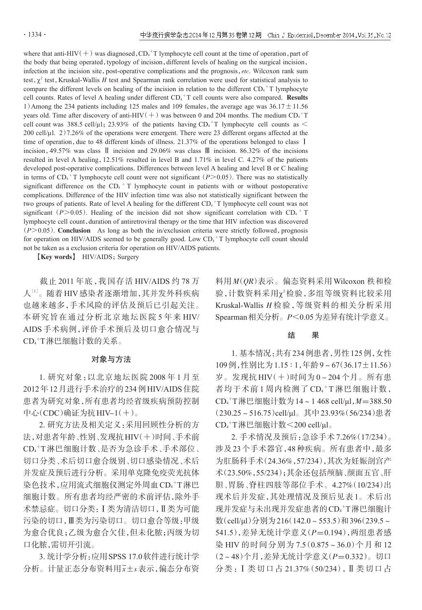where that anti-HIV( $+$ ) was diagnosed,  $CD<sub>4</sub><sup>+</sup>T$  lymphocyte cell count at the time of operation, part of the body that being operated, typology of incision, different levels of healing on the surgical incision, infection at the incision site, post-operative complications and the prognosis, etc. Wilcoxon rank sum test,  $\chi^2$  test, Kruskal-Wallis H test and Spearman rank correlation were used for statistical analysis to compare the different levels on healing of the incision in relation to the different  $CD_4$ <sup>+</sup>T lymphocyte cell counts. Rates of level A healing under different  $CD_4$ <sup>+</sup>T cell counts were also compared. **Results** 1) Among the 234 patients including 125 males and 109 females, the average age was  $36.17 \pm 11.56$ years old. Time after discovery of anti-HIV  $(+)$  was between 0 and 204 months. The medium  $CD_{4}$ <sup>+</sup>T cell count was 388.5 cell/ $\mu$ l; 23.93% of the patients having CD<sub>4</sub><sup>+</sup>T lymphocyte cell counts as  $\leq$ 200 cell/ $\mu$ l. 2)7.26% of the operations were emergent. There were 23 different organs affected at the time of operation, due to 48 different kinds of illness. 21.37% of the operations belonged to class I incision,49.57% was class Ⅱ incision and 29.06% was class Ⅲ incision. 86.32% of the incisions resulted in level A healing,12.51% resulted in level B and 1.71% in level C. 4.27% of the patients developed post-operative complications. Differences between level A healing and level B or C healing in terms of  $CD_4$ <sup>+</sup>T lymphocyte cell count were not significant ( $P>0.05$ ). There was no statistically significant difference on the  $CD<sub>4</sub>$ <sup>+</sup> T lymphocyte count in patients with or without postoperative complications. Difference of the HIV infection time was also not statistically significant between the two groups of patients. Rate of level A healing for the different  $CD_4$ <sup>+</sup>T lymphocyte cell count was not significant ( $P>0.05$ ). Healing of the incision did not show significant correlation with CD<sub>4</sub> + T lymphocyte cell count, duration of antiretroviral therapy or the time that HIV infection was discovered  $(P>0.05)$ . Conclusion As long as both the in/exclusion criteria were strictly followed, prognosis for operation on HIV/AIDS seemed to be generally good. Low  $CD_4^+T$  lymphocyte cell count should not be taken as a exclusion criteria for operation on HIV/AIDS patients.

[Key words] HIV/AIDS; Surgery

截止 2011 年底,我国存活 HIV/AIDS 约 78 万 人<sup>!!!</sup>。 随着 HIV 感染者逐渐增加 ,其并发外科疾病 也越来越多,手术风险的评估及预后已引起关注。 本研究旨在通过分析北京地坛医院 5 年来 HIV/ AIDS 手术病例,评价手术预后及切口愈合情况与 CD4 <sup>+</sup>T淋巴细胞计数的关系。

## 对象与方法

1. 研究对象:以北京地坛医院 2008 年 1 月至 2012年12月进行手术治疗的234例HIV/AIDS住院 患者为研究对象,所有患者均经省级疾病预防控制 中心(CDC)确证为抗HIV-1(+)。

2. 研究方法及相关定义:采用回顾性分析的方 法,对患者年龄、性别、发现抗HIV(+)时间、手术前 CD4 <sup>+</sup>T淋巴细胞计数、是否为急诊手术、手术部位、 切口分类、术后切口愈合级别、切口感染情况、术后 并发症及预后进行分析。采用单克隆免疫荧光抗体 染色技术,应用流式细胞仪测定外周血CD4+T淋巴 细胞计数。所有患者均经严密的术前评估,除外手 术禁忌症。切口分类:Ⅰ类为清洁切口,Ⅱ类为可能 污染的切口,Ⅲ类为污染切口。切口愈合等级:甲级 为愈合优良;乙级为愈合欠佳,但未化脓;丙级为切 口化脓,需切开引流。

3. 统计学分析:应用SPSS 17.0软件进行统计学 分析。计量正态分布资料用x±s表示,偏态分布资 料用 M(QR)表示。偏态资料采用 Wilcoxon 秩和检 验,计数资料采用χ2检验,多组等级资料比较采用 Kruskal-Wallis  $H$  检验, 等级资料的相关分析采用 Spearman相关分析。P<0.05为差异有统计学意义。

## 结 果

1. 基本情况:共有234例患者,男性125例,女性 109例,性别比为1.15 ∶ 1,年龄9~67(36.17±11.56) 岁。发现抗 HIV(+)时间为 0~204 个月。所有患 者均于术前1周内检测了 CD<sub>4</sub>+T淋巴细胞计数, CD4 <sup>+</sup>T淋巴细胞计数为14~1 468 cell/μl,M=388.50 (230.25~516.75)cell/μl。其中23.93%(56/234)患者 CD4 <sup>+</sup>T淋巴细胞计数<200 cell/μl。

2. 手术情况及预后:急诊手术7.26%(17/234)。 涉及23个手术器官,48种疾病。所有患者中,最多 为肛肠科手术(24.36%,57/234),其次为妊娠剖宫产 术(23.50%,55/234);其余还包括颅脑、颜面五官、肝 胆、胃肠、脊柱四肢等部位手术。4.27%(10/234)出 现术后并发症,其处理情况及预后见表 1。术后出 现并发症与未出现并发症患者的CD4+T淋巴细胞计 数(cell/μl)分别为216(142.0~553.5)和396(239.5~ 541.5), 差异无统计学意义(P=0.194), 两组患者感 染 HIV 的时间分别为 7.5(0.875~36.0)个月和 12 (2~48)个月,差异无统计学意义(P=0.332)。切口 分类:Ⅰ类切口占 21.37%(50/234),Ⅱ类切口占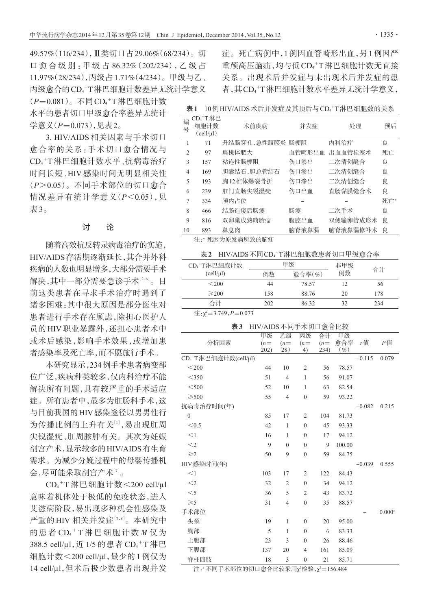49.57%(116/234),Ⅲ类切口占29.06%(68/234)。切 口 愈 合 级 别 :甲 级 占 86.32%(202/234),乙 级 占 11.97%(28/234),丙级占1.71%(4/234)。甲级与乙、 丙级愈合的CD4 <sup>+</sup>T淋巴细胞计数差异无统计学意义  $(P=0.081)$ 。不同CD<sub>4</sub>+T淋巴细胞计数 水平的患者切口甲级愈合率差异无统计

学意义 (P=0.073), 见表2。

3. HIV/AIDS 相关因素与手术切口 愈合率的关系:手术切口愈合情况与 CD4 <sup>+</sup>T 淋巴细胞计数水平、抗病毒治疗 时间长短、HIV 感染时间无明显相关性 (P>0.05)。不同手术部位的切口愈合 情况差异有统计学意义(P<0.05),见 表3。

# 讨 论

随着高效抗反转录病毒治疗的实施, HIV/AIDS存活期逐渐延长,其合并外科 疾病的人数也明显增多,大部分需要手术 解决,其中一部分需要急诊手术½。目 前这类患者在寻求手术治疗时遇到了 诸多困难:其中很大原因是部分医生对 患者进行手术存在顾虑,除担心医护人 员的 HIV 职业暴露外,还担心患者术中 或术后感染,影响手术效果,或增加患 者感染率及死亡率,而不愿施行手术。

本研究显示,234例手术患者病变部 位广泛,疾病种类较多,仅内科治疗不能 解决所有问题,具有较严重的手术适应 症。所有患者中,最多为肛肠科手术,这 与目前我国的HIV感染途径以男男性行 为传播比例的上升有关[1],易出现肛周 尖锐湿疣、肛周脓肿有关。其次为妊娠 剖宫产术,显示较多的HIV/AIDS有生育 需求。为减少分娩过程中的母婴传播机 会,尽可能采取剖宫产术[<sup>7</sup>] 。

CD<sub>4</sub>+T淋巴细胞计数<200 cell/μl 意味着机体处于极低的免疫状态,进入 艾滋病阶段,易出现多种机会性感染及 严重的 HIV 相关并发症[7,8]。本研究中 的患者 CD<sub>4</sub>+T 淋巴细胞计数  $M$  仅为 388.5 cell/μl, 近 1/5 的患者 CD<sub>4</sub>+T淋巴 细胞计数<200 cell/μl,最少的 1 例仅为 14 cell/μl,但术后极少数患者出现并发

症。死亡病例中,1例因血管畸形出血,另1例因严 重颅高压脑疝,均与低CD4 <sup>+</sup>T淋巴细胞计数无直接 关系。出现术后并发症与未出现术后并发症的患 者,其CD4 <sup>+</sup>T淋巴细胞计数水平差异无统计学意义,

表1 10例HIV/AIDS术后并发症及其预后与CD4+T淋巴细胞数的关系

| 编              |                 |                 | 并发症    |          |     |  |  |
|----------------|-----------------|-----------------|--------|----------|-----|--|--|
| 号              | 细胞计数            | 术前疾病            |        | 处理       | 预后  |  |  |
|                | $(cell/ \mu l)$ |                 |        |          |     |  |  |
| 1              | 71              | 升结肠穿孔,急性腹膜炎 肠梗阻 |        | 内科治疗     | 良   |  |  |
| $\overline{c}$ | 97              | 扁桃体肥大           | 血管畸形出血 | 出血血管栓塞术  | 死亡  |  |  |
| 3              | 157             | 粘连性肠梗阻          | 伤口渗出   | 二次清创缝合   | 良   |  |  |
| 4              | 169             | 胆囊结石,胆总管结石      | 伤口渗出   | 二次清创缝合   | 良   |  |  |
| 5              | 193             | 胸12椎体爆裂骨折       | 伤口渗出   | 二次清创缝合   | 良   |  |  |
| 6              | 239             | 肛门直肠尖锐湿疣        | 伤口出血   | 直肠黏膜缝合术  | 良   |  |  |
| 7              | 334             | 颅内占位            |        |          | 死亡" |  |  |
| 8              | 466             | 结肠造瘘后肠瘘         | 肠瘘     | 二次手术     | 良   |  |  |
| 9              | 816             | 双卵巢成熟畸胎瘤        | 腹腔出血   | 双侧输卵管成形术 | 良   |  |  |
| 10             | 893             | 鼻息肉             | 脑脊液鼻漏  | 脑脊液鼻漏修补术 | 良   |  |  |
| 注:"死因为原发病所致的脑疝 |                 |                 |        |          |     |  |  |

# 表2 HIV/AIDS不同CD4+T淋巴细胞数患者切口甲级愈合率

| CD <sub>4</sub> +T淋巴细胞计数                           | 甲级  |                             | 非甲级 | 合计  |  |
|----------------------------------------------------|-----|-----------------------------|-----|-----|--|
| (cell/µl)                                          | 例数  | $\hat{\mathbb{A}}$ 合率 $(\%$ | 例数  |     |  |
| < 200                                              | 44  | 78.57                       | 12  | 56  |  |
| $\geqslant$ 200                                    | 158 | 88.76                       | 20  | 178 |  |
| 合计                                                 | 202 | 86.32                       | 32  | 234 |  |
| $\lambda$<br>$\rightarrow$<br>$2.710 \times 2.072$ |     |                             |     |     |  |

 $\pm$ : $\chi^2$ =3.749, $P$ =0.073

#### 表3 HIV/AIDS不同手术切口愈合比较

|                                   | 甲级    | 乙级             | 丙级               | 合计    | 甲级     |          |           |
|-----------------------------------|-------|----------------|------------------|-------|--------|----------|-----------|
| 分析因素                              | $(n=$ | $(n=$          | $(n=$            | $(n=$ | 愈合率    | r值       | Р值        |
|                                   | 202)  | 28)            | 4)               | 234)  | $(\%)$ |          |           |
| CD <sub>4</sub> +T淋巴细胞计数(cell/µl) |       |                |                  |       |        | $-0.115$ | 0.079     |
| $<$ 200                           | 44    | 10             | $\overline{2}$   | 56    | 78.57  |          |           |
| $<$ 350                           | 51    | $\overline{4}$ | 1                | 56    | 91.07  |          |           |
| $<$ 500                           | 52    | 10             | 1                | 63    | 82.54  |          |           |
| $\geqslant$ 500                   | 55    | $\overline{4}$ | $\mathbf{0}$     | 59    | 93.22  |          |           |
| 抗病毒治疗时间(年)                        |       |                |                  |       |        | $-0.082$ | 0.215     |
| $\overline{0}$                    | 85    | 17             | 2                | 104   | 81.73  |          |           |
| < 0.5                             | 42    | 1              | $\mathbf{0}$     | 45    | 93.33  |          |           |
| $\leq$ 1                          | 16    | 1              | $\mathbf{0}$     | 17    | 94.12  |          |           |
| $<$ 2                             | 9     | $\mathbf{0}$   | $\mathbf{0}$     | 9     | 100.00 |          |           |
| $\geqslant$ 2                     | 50    | 9              | $\mathbf{0}$     | 59    | 84.75  |          |           |
| HIV感染时间(年)                        |       |                |                  |       |        | $-0.039$ | 0.555     |
| $\leq$ 1                          | 103   | 17             | $\overline{2}$   | 122   | 84.43  |          |           |
| $<$ 2                             | 32    | $\overline{2}$ | $\mathbf{0}$     | 34    | 94.12  |          |           |
| $<$ 5                             | 36    | 5              | $\overline{2}$   | 43    | 83.72  |          |           |
| $\geqslant$ 5                     | 31    | $\overline{4}$ | $\mathbf{0}$     | 35    | 88.57  |          |           |
| 手术部位                              |       |                |                  |       |        |          | $0.000^a$ |
| 头颈                                | 19    | 1              | $\mathbf{0}$     | 20    | 95.00  |          |           |
| 胸部                                | 5     | $\mathbf{1}$   | $\mathbf{0}$     | 6     | 83.33  |          |           |
| 上腹部                               | 23    | 3              | $\mathbf{0}$     | 26    | 88.46  |          |           |
| 下腹部                               | 137   | 20             | 4                | 161   | 85.09  |          |           |
| 脊柱四肢                              | 18    | 3              | $\boldsymbol{0}$ | 21    | 85.71  |          |           |

注:"不同手术部位的切口愈合比较采用 $\chi$ 检验, $\chi^2$ =156.484